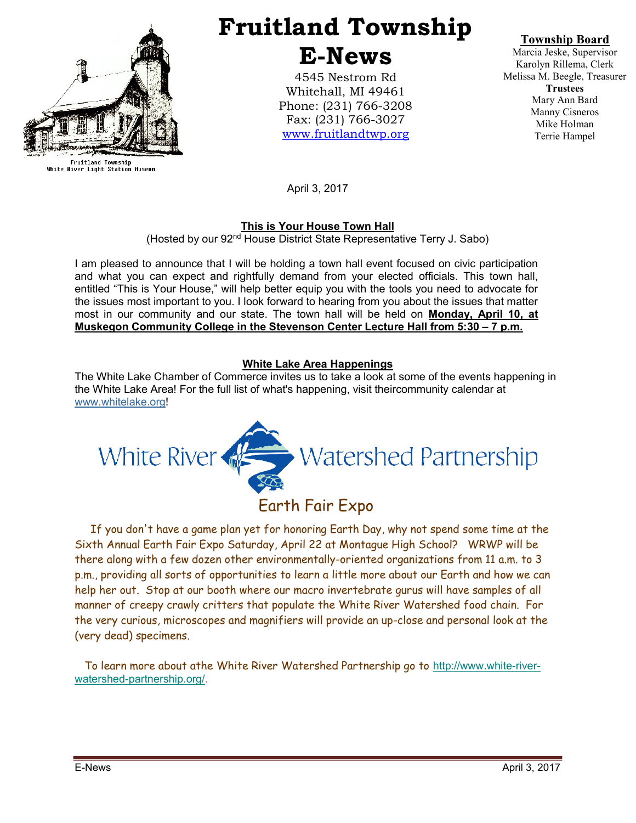

Fruitland Township<br>White River Light Station Museum

# Fruitland Township E-News

4545 Nestrom Rd Whitehall, MI 49461 Phone: (231) 766-3208 Fax: (231) 766-3027 www.fruitlandtwp.org

Township Board

Marcia Jeske, Supervisor Karolyn Rillema, Clerk Melissa M. Beegle, Treasurer **Trustees** Mary Ann Bard Manny Cisneros Mike Holman Terrie Hampel

April 3, 2017

# This is Your House Town Hall

(Hosted by our 92nd House District State Representative Terry J. Sabo)

I am pleased to announce that I will be holding a town hall event focused on civic participation and what you can expect and rightfully demand from your elected officials. This town hall, entitled "This is Your House," will help better equip you with the tools you need to advocate for the issues most important to you. I look forward to hearing from you about the issues that matter most in our community and our state. The town hall will be held on **Monday, April 10, at** Muskegon Community College in the Stevenson Center Lecture Hall from 5:30 – 7 p.m.

# White Lake Area Happenings

The White Lake Chamber of Commerce invites us to take a look at some of the events happening in the White Lake Area! For the full list of what's happening, visit theircommunity calendar at www.whitelake.org!



# Earth Fair Expo

 If you don't have a game plan yet for honoring Earth Day, why not spend some time at the Sixth Annual Earth Fair Expo Saturday, April 22 at Montague High School? WRWP will be there along with a few dozen other environmentally-oriented organizations from 11 a.m. to 3 p.m., providing all sorts of opportunities to learn a little more about our Earth and how we can help her out. Stop at our booth where our macro invertebrate gurus will have samples of all manner of creepy crawly critters that populate the White River Watershed food chain. For the very curious, microscopes and magnifiers will provide an up-close and personal look at the (very dead) specimens.

 To learn more about athe White River Watershed Partnership go to http://www.white-riverwatershed-partnership.org/.